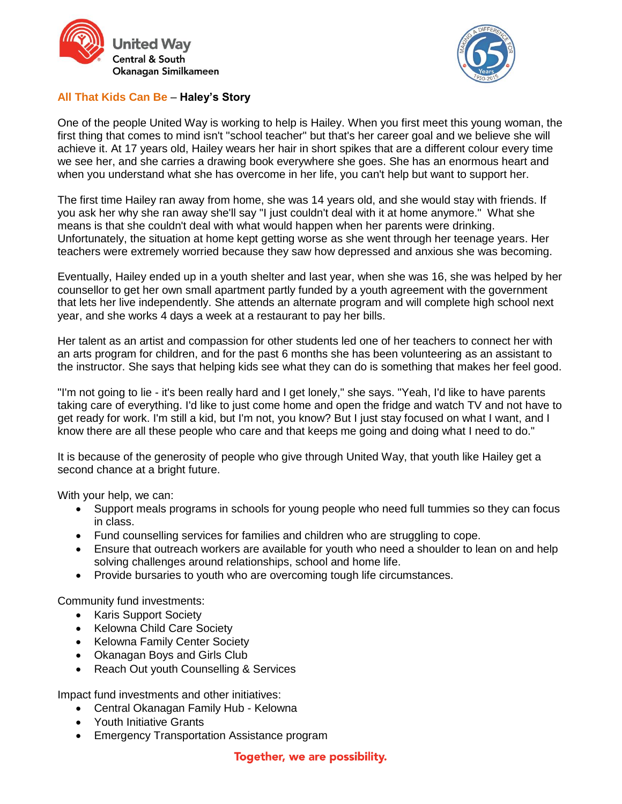



## **All That Kids Can Be** – **Haley's Story**

One of the people United Way is working to help is Hailey. When you first meet this young woman, the first thing that comes to mind isn't "school teacher" but that's her career goal and we believe she will achieve it. At 17 years old, Hailey wears her hair in short spikes that are a different colour every time we see her, and she carries a drawing book everywhere she goes. She has an enormous heart and when you understand what she has overcome in her life, you can't help but want to support her.

The first time Hailey ran away from home, she was 14 years old, and she would stay with friends. If you ask her why she ran away she'll say "I just couldn't deal with it at home anymore." What she means is that she couldn't deal with what would happen when her parents were drinking. Unfortunately, the situation at home kept getting worse as she went through her teenage years. Her teachers were extremely worried because they saw how depressed and anxious she was becoming.

Eventually, Hailey ended up in a youth shelter and last year, when she was 16, she was helped by her counsellor to get her own small apartment partly funded by a youth agreement with the government that lets her live independently. She attends an alternate program and will complete high school next year, and she works 4 days a week at a restaurant to pay her bills.

Her talent as an artist and compassion for other students led one of her teachers to connect her with an arts program for children, and for the past 6 months she has been volunteering as an assistant to the instructor. She says that helping kids see what they can do is something that makes her feel good.

"I'm not going to lie - it's been really hard and I get lonely," she says. "Yeah, I'd like to have parents taking care of everything. I'd like to just come home and open the fridge and watch TV and not have to get ready for work. I'm still a kid, but I'm not, you know? But I just stay focused on what I want, and I know there are all these people who care and that keeps me going and doing what I need to do."

It is because of the generosity of people who give through United Way, that youth like Hailey get a second chance at a bright future.

With your help, we can:

- Support meals programs in schools for young people who need full tummies so they can focus in class.
- Fund counselling services for families and children who are struggling to cope.
- Ensure that outreach workers are available for youth who need a shoulder to lean on and help solving challenges around relationships, school and home life.
- Provide bursaries to youth who are overcoming tough life circumstances.

Community fund investments:

- Karis Support Society
- Kelowna Child Care Society
- Kelowna Family Center Society
- Okanagan Boys and Girls Club
- Reach Out youth Counselling & Services

Impact fund investments and other initiatives:

- Central Okanagan Family Hub Kelowna
- Youth Initiative Grants
- Emergency Transportation Assistance program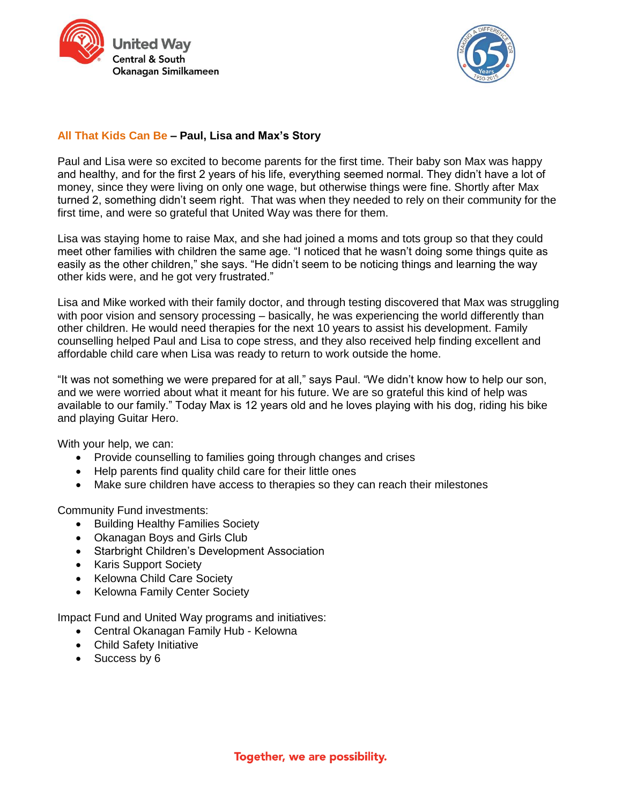



## **All That Kids Can Be – Paul, Lisa and Max's Story**

Paul and Lisa were so excited to become parents for the first time. Their baby son Max was happy and healthy, and for the first 2 years of his life, everything seemed normal. They didn't have a lot of money, since they were living on only one wage, but otherwise things were fine. Shortly after Max turned 2, something didn't seem right. That was when they needed to rely on their community for the first time, and were so grateful that United Way was there for them.

Lisa was staying home to raise Max, and she had joined a moms and tots group so that they could meet other families with children the same age. "I noticed that he wasn't doing some things quite as easily as the other children," she says. "He didn't seem to be noticing things and learning the way other kids were, and he got very frustrated."

Lisa and Mike worked with their family doctor, and through testing discovered that Max was struggling with poor vision and sensory processing – basically, he was experiencing the world differently than other children. He would need therapies for the next 10 years to assist his development. Family counselling helped Paul and Lisa to cope stress, and they also received help finding excellent and affordable child care when Lisa was ready to return to work outside the home.

"It was not something we were prepared for at all," says Paul. "We didn't know how to help our son, and we were worried about what it meant for his future. We are so grateful this kind of help was available to our family." Today Max is 12 years old and he loves playing with his dog, riding his bike and playing Guitar Hero.

With your help, we can:

- Provide counselling to families going through changes and crises
- Help parents find quality child care for their little ones
- Make sure children have access to therapies so they can reach their milestones

Community Fund investments:

- Building Healthy Families Society
- Okanagan Boys and Girls Club
- Starbright Children's Development Association
- Karis Support Society
- Kelowna Child Care Society
- Kelowna Family Center Society

Impact Fund and United Way programs and initiatives:

- Central Okanagan Family Hub Kelowna
- Child Safety Initiative
- Success by 6